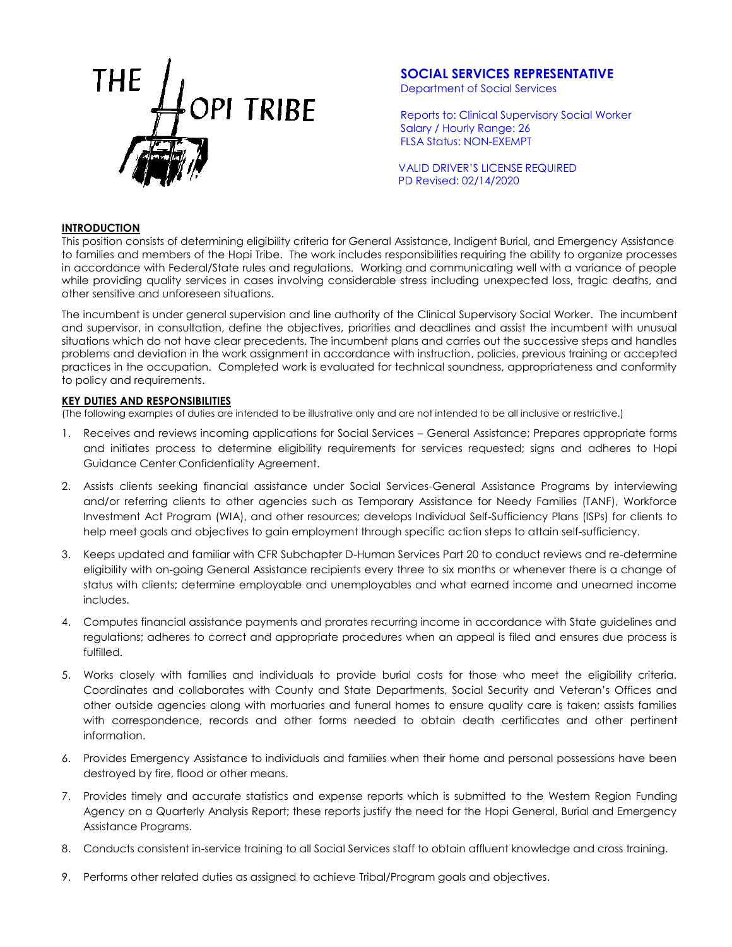

# **SOCIAL SERVICES REPRESENTATIVE**

Department of Social Services

Reports to: Clinical Supervisory Social Worker Salary / Hourly Range: 26 FLSA Status: NON-EXEMPT

VALID DRIVER'S LICENSE REQUIRED PD Revised: 02/14/2020

#### **INTRODUCTION**

This position consists of determining eligibility criteria for General Assistance, Indigent Burial, and Emergency Assistance to families and members of the Hopi Tribe. The work includes responsibilities requiring the ability to organize processes in accordance with Federal/State rules and regulations. Working and communicating well with a variance of people while providing quality services in cases involving considerable stress including unexpected loss, tragic deaths, and other sensitive and unforeseen situations.

The incumbent is under general supervision and line authority of the Clinical Supervisory Social Worker. The incumbent and supervisor, in consultation, define the objectives, priorities and deadlines and assist the incumbent with unusual situations which do not have clear precedents. The incumbent plans and carries out the successive steps and handles problems and deviation in the work assignment in accordance with instruction, policies, previous training or accepted practices in the occupation. Completed work is evaluated for technical soundness, appropriateness and conformity to policy and requirements.

### **KEY DUTIES AND RESPONSIBILITIES**

(The following examples of duties are intended to be illustrative only and are not intended to be all inclusive or restrictive.)

- 1. Receives and reviews incoming applications for Social Services General Assistance; Prepares appropriate forms and initiates process to determine eligibility requirements for services requested; signs and adheres to Hopi Guidance Center Confidentiality Agreement.
- 2. Assists clients seeking financial assistance under Social Services-General Assistance Programs by interviewing and/or referring clients to other agencies such as Temporary Assistance for Needy Families (TANF), Workforce Investment Act Program (WIA), and other resources; develops Individual Self-Sufficiency Plans (ISPs) for clients to help meet goals and objectives to gain employment through specific action steps to attain self-sufficiency.
- 3. Keeps updated and familiar with CFR Subchapter D-Human Services Part 20 to conduct reviews and re-determine eligibility with on-going General Assistance recipients every three to six months or whenever there is a change of status with clients; determine employable and unemployables and what earned income and unearned income includes.
- 4. Computes financial assistance payments and prorates recurring income in accordance with State guidelines and regulations; adheres to correct and appropriate procedures when an appeal is filed and ensures due process is fulfilled.
- 5. Works closely with families and individuals to provide burial costs for those who meet the eligibility criteria. Coordinates and collaborates with County and State Departments, Social Security and Veteran's Offices and other outside agencies along with mortuaries and funeral homes to ensure quality care is taken; assists families with correspondence, records and other forms needed to obtain death certificates and other pertinent information.
- 6. Provides Emergency Assistance to individuals and families when their home and personal possessions have been destroyed by fire, flood or other means.
- 7. Provides timely and accurate statistics and expense reports which is submitted to the Western Region Funding Agency on a Quarterly Analysis Report; these reports justify the need for the Hopi General, Burial and Emergency Assistance Programs.
- 8. Conducts consistent in-service training to all Social Services staff to obtain affluent knowledge and cross training.
- 9. Performs other related duties as assigned to achieve Tribal/Program goals and objectives.